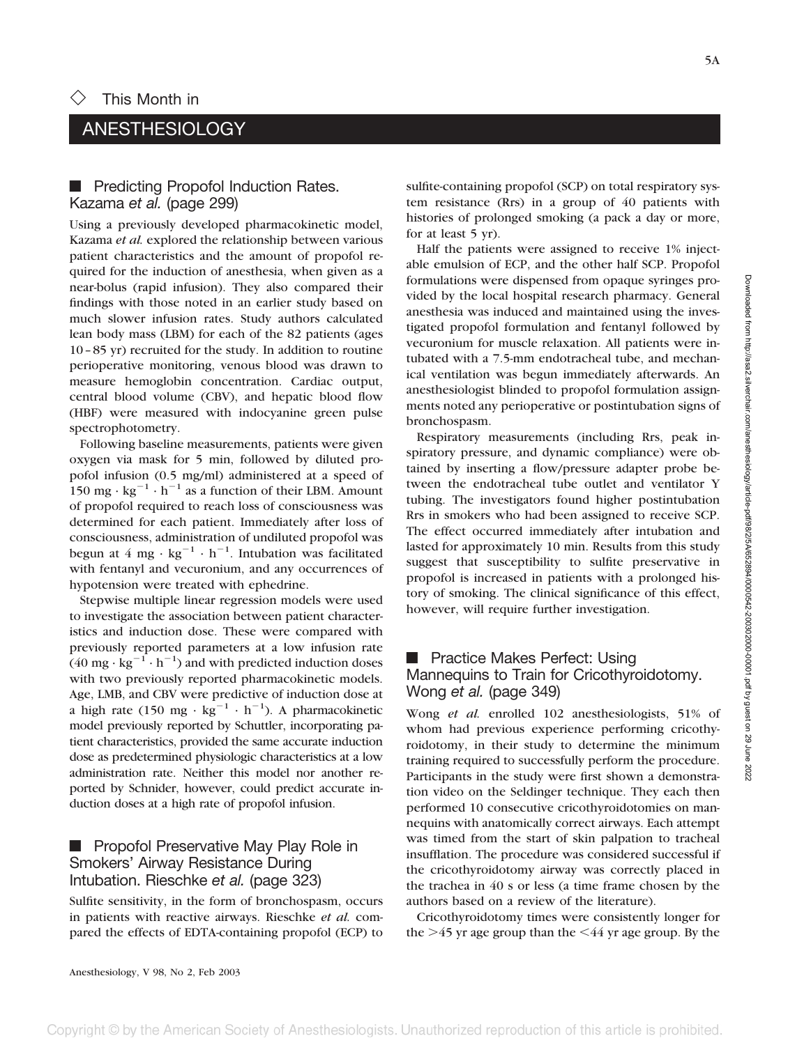5A

# ANESTHESIOLOGY

#### **F** Predicting Propofol Induction Rates. Kazama *et al.* (page 299)

Using a previously developed pharmacokinetic model, Kazama *et al.* explored the relationship between various patient characteristics and the amount of propofol required for the induction of anesthesia, when given as a near-bolus (rapid infusion). They also compared their findings with those noted in an earlier study based on much slower infusion rates. Study authors calculated lean body mass (LBM) for each of the 82 patients (ages 10–85 yr) recruited for the study. In addition to routine perioperative monitoring, venous blood was drawn to measure hemoglobin concentration. Cardiac output, central blood volume (CBV), and hepatic blood flow (HBF) were measured with indocyanine green pulse spectrophotometry.

Following baseline measurements, patients were given oxygen via mask for 5 min, followed by diluted propofol infusion (0.5 mg/ml) administered at a speed of 150 mg ·  $kg^{-1} \cdot h^{-1}$  as a function of their LBM. Amount of propofol required to reach loss of consciousness was determined for each patient. Immediately after loss of consciousness, administration of undiluted propofol was begun at 4 mg ·  $kg^{-1} \cdot h^{-1}$ . Intubation was facilitated with fentanyl and vecuronium, and any occurrences of hypotension were treated with ephedrine.

Stepwise multiple linear regression models were used to investigate the association between patient characteristics and induction dose. These were compared with previously reported parameters at a low infusion rate  $(40 \text{ mg} \cdot \text{kg}^{-1} \cdot \text{h}^{-1})$  and with predicted induction doses with two previously reported pharmacokinetic models. Age, LMB, and CBV were predictive of induction dose at a high rate (150 mg ·  $kg^{-1} \cdot h^{-1}$ ). A pharmacokinetic model previously reported by Schuttler, incorporating patient characteristics, provided the same accurate induction dose as predetermined physiologic characteristics at a low administration rate. Neither this model nor another reported by Schnider, however, could predict accurate induction doses at a high rate of propofol infusion.

## **F** Propofol Preservative May Play Role in Smokers' Airway Resistance During Intubation. Rieschke *et al.* (page 323)

Sulfite sensitivity, in the form of bronchospasm, occurs in patients with reactive airways. Rieschke *et al.* compared the effects of EDTA-containing propofol (ECP) to sulfite-containing propofol (SCP) on total respiratory system resistance (Rrs) in a group of 40 patients with histories of prolonged smoking (a pack a day or more, for at least 5 yr).

Half the patients were assigned to receive 1% injectable emulsion of ECP, and the other half SCP. Propofol formulations were dispensed from opaque syringes provided by the local hospital research pharmacy. General anesthesia was induced and maintained using the investigated propofol formulation and fentanyl followed by vecuronium for muscle relaxation. All patients were intubated with a 7.5-mm endotracheal tube, and mechanical ventilation was begun immediately afterwards. An anesthesiologist blinded to propofol formulation assignments noted any perioperative or postintubation signs of bronchospasm.

Respiratory measurements (including Rrs, peak inspiratory pressure, and dynamic compliance) were obtained by inserting a flow/pressure adapter probe between the endotracheal tube outlet and ventilator Y tubing. The investigators found higher postintubation Rrs in smokers who had been assigned to receive SCP. The effect occurred immediately after intubation and lasted for approximately 10 min. Results from this study suggest that susceptibility to sulfite preservative in propofol is increased in patients with a prolonged history of smoking. The clinical significance of this effect, however, will require further investigation.

## **F** Practice Makes Perfect: Using Mannequins to Train for Cricothyroidotomy. Wong *et al.* (page 349)

Wong *et al.* enrolled 102 anesthesiologists, 51% of whom had previous experience performing cricothyroidotomy, in their study to determine the minimum training required to successfully perform the procedure. Participants in the study were first shown a demonstration video on the Seldinger technique. They each then performed 10 consecutive cricothyroidotomies on mannequins with anatomically correct airways. Each attempt was timed from the start of skin palpation to tracheal insufflation. The procedure was considered successful if the cricothyroidotomy airway was correctly placed in the trachea in 40 s or less (a time frame chosen by the authors based on a review of the literature).

Cricothyroidotomy times were consistently longer for the  $>$ 45 yr age group than the  $<$ 44 yr age group. By the